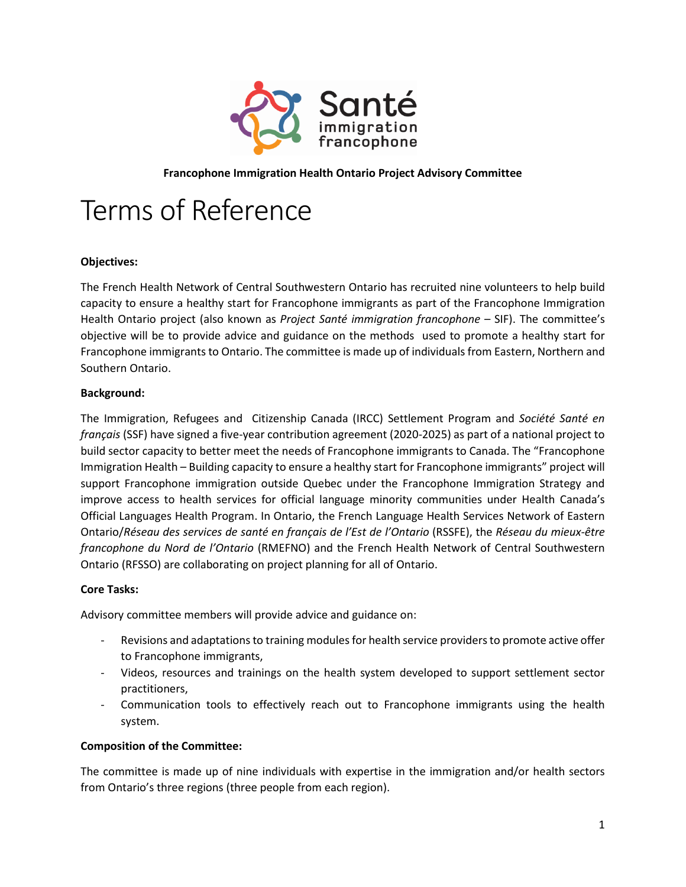

# **Francophone Immigration Health Ontario Project Advisory Committee**

# Terms of Reference

## **Objectives:**

The French Health Network of Central Southwestern Ontario has recruited nine volunteers to help build capacity to ensure a healthy start for Francophone immigrants as part of the Francophone Immigration Health Ontario project (also known as *Project Santé immigration francophone* – SIF). The committee's objective will be to provide advice and guidance on the methods used to promote a healthy start for Francophone immigrants to Ontario. The committee is made up of individuals from Eastern, Northern and Southern Ontario.

## **Background:**

The Immigration, Refugees and Citizenship Canada (IRCC) Settlement Program and *Société Santé en français* (SSF) have signed a five-year contribution agreement (2020-2025) as part of a national project to build sector capacity to better meet the needs of Francophone immigrants to Canada. The "Francophone Immigration Health – Building capacity to ensure a healthy start for Francophone immigrants" project will support Francophone immigration outside Quebec under the Francophone Immigration Strategy and improve access to health services for official language minority communities under Health Canada's Official Languages Health Program. In Ontario, the French Language Health Services Network of Eastern Ontario/*Réseau des services de santé en français de l'Est de l'Ontario* (RSSFE), the *Réseau du mieux-être francophone du Nord de l'Ontario* (RMEFNO) and the French Health Network of Central Southwestern Ontario (RFSSO) are collaborating on project planning for all of Ontario.

#### **Core Tasks:**

Advisory committee members will provide advice and guidance on:

- Revisions and adaptations to training modules for health service providers to promote active offer to Francophone immigrants,
- Videos, resources and trainings on the health system developed to support settlement sector practitioners,
- Communication tools to effectively reach out to Francophone immigrants using the health system.

#### **Composition of the Committee:**

The committee is made up of nine individuals with expertise in the immigration and/or health sectors from Ontario's three regions (three people from each region).